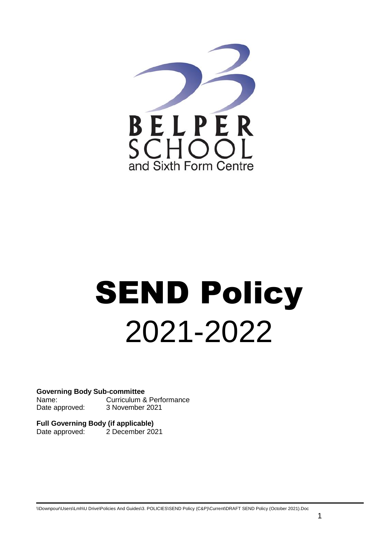

# **SEND Policy** 2021-2022

**Governing Body Sub-committee** Name: Curriculum & Performance Date approved: 3 November 2021

**Full Governing Body (if applicable)** Date approved: 2 December 2021

l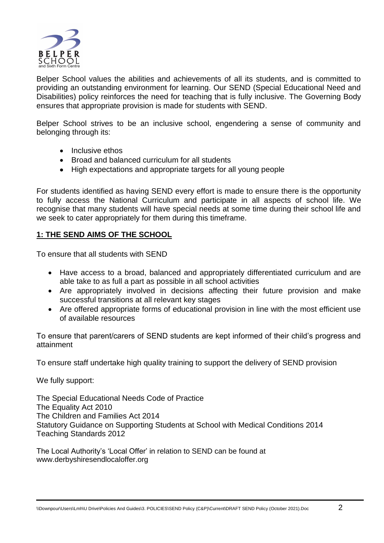

Belper School values the abilities and achievements of all its students, and is committed to providing an outstanding environment for learning. Our SEND (Special Educational Need and Disabilities) policy reinforces the need for teaching that is fully inclusive. The Governing Body ensures that appropriate provision is made for students with SEND.

Belper School strives to be an inclusive school, engendering a sense of community and belonging through its:

- Inclusive ethos
- Broad and balanced curriculum for all students
- High expectations and appropriate targets for all young people

For students identified as having SEND every effort is made to ensure there is the opportunity to fully access the National Curriculum and participate in all aspects of school life. We recognise that many students will have special needs at some time during their school life and we seek to cater appropriately for them during this timeframe.

## **1: THE SEND AIMS OF THE SCHOOL**

To ensure that all students with SEND

- Have access to a broad, balanced and appropriately differentiated curriculum and are able take to as full a part as possible in all school activities
- Are appropriately involved in decisions affecting their future provision and make successful transitions at all relevant key stages
- Are offered appropriate forms of educational provision in line with the most efficient use of available resources

To ensure that parent/carers of SEND students are kept informed of their child's progress and attainment

To ensure staff undertake high quality training to support the delivery of SEND provision

We fully support:

The Special Educational Needs Code of Practice The Equality Act 2010 The Children and Families Act 2014 Statutory Guidance on Supporting Students at School with Medical Conditions 2014 Teaching Standards 2012

The Local Authority's 'Local Offer' in relation to SEND can be found at www.derbyshiresendlocaloffer.org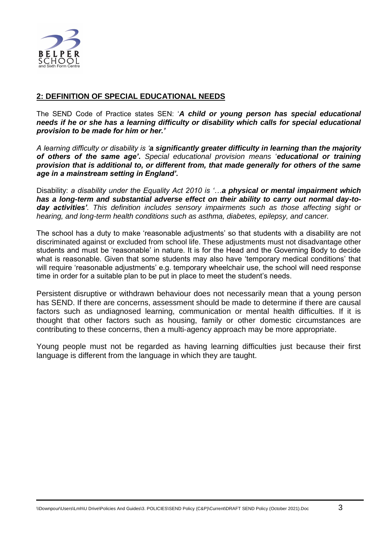

#### **2: DEFINITION OF SPECIAL EDUCATIONAL NEEDS**

The SEND Code of Practice states SEN: '*A child or young person has special educational needs if he or she has a learning difficulty or disability which calls for special educational provision to be made for him or her.'* 

*A learning difficulty or disability is 'a significantly greater difficulty in learning than the majority of others of the same age'***.** *Special educational provision means* '*educational or training provision that is additional to, or different from, that made generally for others of the same age in a mainstream setting in England'.*

Disability: *a disability under the Equality Act 2010 is '…a physical or mental impairment which has a long-term and substantial adverse effect on their ability to carry out normal day-today activities'. This definition includes sensory impairments such as those affecting sight or hearing, and long-term health conditions such as asthma, diabetes, epilepsy, and cancer.*

The school has a duty to make 'reasonable adjustments' so that students with a disability are not discriminated against or excluded from school life. These adjustments must not disadvantage other students and must be 'reasonable' in nature. It is for the Head and the Governing Body to decide what is reasonable. Given that some students may also have 'temporary medical conditions' that will require 'reasonable adjustments' e.g. temporary wheelchair use, the school will need response time in order for a suitable plan to be put in place to meet the student's needs.

Persistent disruptive or withdrawn behaviour does not necessarily mean that a young person has SEND. If there are concerns, assessment should be made to determine if there are causal factors such as undiagnosed learning, communication or mental health difficulties. If it is thought that other factors such as housing, family or other domestic circumstances are contributing to these concerns, then a multi‐agency approach may be more appropriate.

Young people must not be regarded as having learning difficulties just because their first language is different from the language in which they are taught.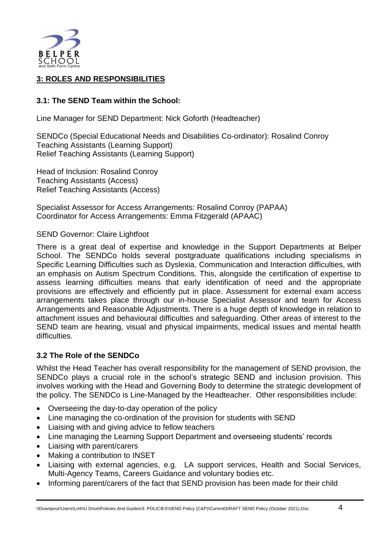

# **3: ROLES AND RESPONSIBILITIES**

## **3.1: The SEND Team within the School:**

Line Manager for SEND Department: Nick Goforth (Headteacher)

SENDCo (Special Educational Needs and Disabilities Co-ordinator): Rosalind Conroy Teaching Assistants (Learning Support) Relief Teaching Assistants (Learning Support)

Head of Inclusion: Rosalind Conroy Teaching Assistants (Access) Relief Teaching Assistants (Access)

Specialist Assessor for Access Arrangements: Rosalind Conroy (PAPAA) Coordinator for Access Arrangements: Emma Fitzgerald (APAAC)

SEND Governor: Claire Lightfoot

There is a great deal of expertise and knowledge in the Support Departments at Belper School. The SENDCo holds several postgraduate qualifications including specialisms in Specific Learning Difficulties such as Dyslexia, Communication and Interaction difficulties, with an emphasis on Autism Spectrum Conditions. This, alongside the certification of expertise to assess learning difficulties means that early identification of need and the appropriate provisions are effectively and efficiently put in place. Assessment for external exam access arrangements takes place through our in-house Specialist Assessor and team for Access Arrangements and Reasonable Adjustments. There is a huge depth of knowledge in relation to attachment issues and behavioural difficulties and safeguarding. Other areas of interest to the SEND team are hearing, visual and physical impairments, medical issues and mental health difficulties.

# **3.2 The Role of the SENDCo**

Whilst the Head Teacher has overall responsibility for the management of SEND provision, the SENDCo plays a crucial role in the school's strategic SEND and inclusion provision. This involves working with the Head and Governing Body to determine the strategic development of the policy. The SENDCo is Line-Managed by the Headteacher. Other responsibilities include:

- Overseeing the day-to-day operation of the policy
- Line managing the co-ordination of the provision for students with SEND
- Liaising with and giving advice to fellow teachers
- Line managing the Learning Support Department and overseeing students' records
- Liaising with parent/carers
- Making a contribution to INSET
- Liaising with external agencies, e.g. LA support services, Health and Social Services, Multi-Agency Teams, Careers Guidance and voluntary bodies etc.
- Informing parent/carers of the fact that SEND provision has been made for their child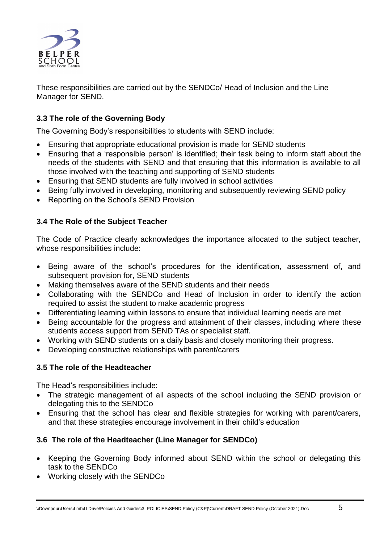

These responsibilities are carried out by the SENDCo/ Head of Inclusion and the Line Manager for SEND.

# **3.3 The role of the Governing Body**

The Governing Body's responsibilities to students with SEND include:

- Ensuring that appropriate educational provision is made for SEND students
- Ensuring that a 'responsible person' is identified; their task being to inform staff about the needs of the students with SEND and that ensuring that this information is available to all those involved with the teaching and supporting of SEND students
- Ensuring that SEND students are fully involved in school activities
- Being fully involved in developing, monitoring and subsequently reviewing SEND policy
- Reporting on the School's SEND Provision

# **3.4 The Role of the Subject Teacher**

The Code of Practice clearly acknowledges the importance allocated to the subject teacher, whose responsibilities include:

- Being aware of the school's procedures for the identification, assessment of, and subsequent provision for, SEND students
- Making themselves aware of the SEND students and their needs
- Collaborating with the SENDCo and Head of Inclusion in order to identify the action required to assist the student to make academic progress
- Differentiating learning within lessons to ensure that individual learning needs are met
- Being accountable for the progress and attainment of their classes, including where these students access support from SEND TAs or specialist staff.
- Working with SEND students on a daily basis and closely monitoring their progress.
- Developing constructive relationships with parent/carers

#### **3.5 The role of the Headteacher**

The Head's responsibilities include:

- The strategic management of all aspects of the school including the SEND provision or delegating this to the SENDCo
- Ensuring that the school has clear and flexible strategies for working with parent/carers, and that these strategies encourage involvement in their child's education

# **3.6 The role of the Headteacher (Line Manager for SENDCo)**

- Keeping the Governing Body informed about SEND within the school or delegating this task to the SENDCo
- Working closely with the SENDCo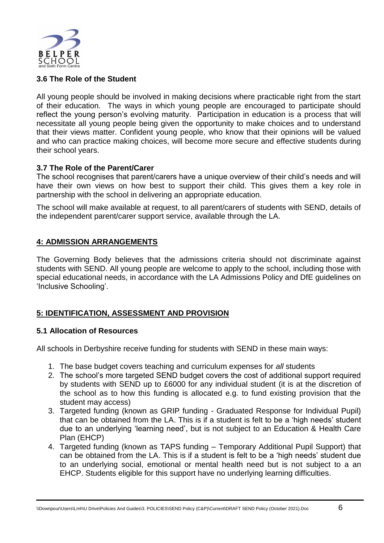

## **3.6 The Role of the Student**

All young people should be involved in making decisions where practicable right from the start of their education. The ways in which young people are encouraged to participate should reflect the young person's evolving maturity. Participation in education is a process that will necessitate all young people being given the opportunity to make choices and to understand that their views matter. Confident young people, who know that their opinions will be valued and who can practice making choices, will become more secure and effective students during their school years.

## **3.7 The Role of the Parent/Carer**

The school recognises that parent/carers have a unique overview of their child's needs and will have their own views on how best to support their child. This gives them a key role in partnership with the school in delivering an appropriate education.

The school will make available at request, to all parent/carers of students with SEND, details of the independent parent/carer support service, available through the LA.

## **4: ADMISSION ARRANGEMENTS**

The Governing Body believes that the admissions criteria should not discriminate against students with SEND. All young people are welcome to apply to the school, including those with special educational needs, in accordance with the LA Admissions Policy and DfE guidelines on 'Inclusive Schooling'.

# **5: IDENTIFICATION, ASSESSMENT AND PROVISION**

#### **5.1 Allocation of Resources**

All schools in Derbyshire receive funding for students with SEND in these main ways:

- 1. The base budget covers teaching and curriculum expenses for *all* students
- 2. The school's more targeted SEND budget covers the cost of additional support required by students with SEND up to £6000 for any individual student (it is at the discretion of the school as to how this funding is allocated e.g. to fund existing provision that the student may access)
- 3. Targeted funding (known as GRIP funding Graduated Response for Individual Pupil) that can be obtained from the LA. This is if a student is felt to be a 'high needs' student due to an underlying 'learning need', but is not subject to an Education & Health Care Plan (EHCP)
- 4. Targeted funding (known as TAPS funding Temporary Additional Pupil Support) that can be obtained from the LA. This is if a student is felt to be a 'high needs' student due to an underlying social, emotional or mental health need but is not subject to a an EHCP. Students eligible for this support have no underlying learning difficulties.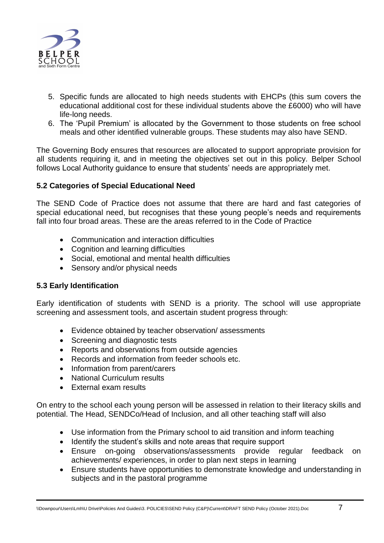

- 5. Specific funds are allocated to high needs students with EHCPs (this sum covers the educational additional cost for these individual students above the £6000) who will have life-long needs.
- 6. The 'Pupil Premium' is allocated by the Government to those students on free school meals and other identified vulnerable groups. These students may also have SEND.

The Governing Body ensures that resources are allocated to support appropriate provision for all students requiring it, and in meeting the objectives set out in this policy*.* Belper School follows Local Authority guidance to ensure that students' needs are appropriately met.

## **5.2 Categories of Special Educational Need**

The SEND Code of Practice does not assume that there are hard and fast categories of special educational need, but recognises that these young people's needs and requirements fall into four broad areas. These are the areas referred to in the Code of Practice

- Communication and interaction difficulties
- Cognition and learning difficulties
- Social, emotional and mental health difficulties
- Sensory and/or physical needs

#### **5.3 Early Identification**

Early identification of students with SEND is a priority. The school will use appropriate screening and assessment tools, and ascertain student progress through:

- Evidence obtained by teacher observation/ assessments
- Screening and diagnostic tests
- Reports and observations from outside agencies
- Records and information from feeder schools etc.
- Information from parent/carers
- National Curriculum results
- External exam results

On entry to the school each young person will be assessed in relation to their literacy skills and potential. The Head, SENDCo/Head of Inclusion, and all other teaching staff will also

- Use information from the Primary school to aid transition and inform teaching
- Identify the student's skills and note areas that require support
- Ensure on-going observations/assessments provide regular feedback on achievements/ experiences, in order to plan next steps in learning
- Ensure students have opportunities to demonstrate knowledge and understanding in subjects and in the pastoral programme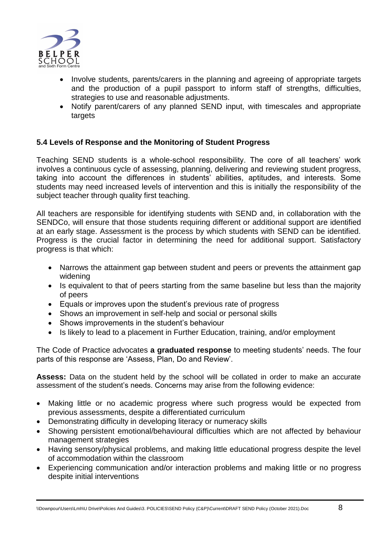

- Involve students, parents/carers in the planning and agreeing of appropriate targets and the production of a pupil passport to inform staff of strengths, difficulties, strategies to use and reasonable adjustments.
- Notify parent/carers of any planned SEND input, with timescales and appropriate targets

# **5.4 Levels of Response and the Monitoring of Student Progress**

Teaching SEND students is a whole-school responsibility. The core of all teachers' work involves a continuous cycle of assessing, planning, delivering and reviewing student progress, taking into account the differences in students' abilities, aptitudes, and interests. Some students may need increased levels of intervention and this is initially the responsibility of the subject teacher through quality first teaching.

All teachers are responsible for identifying students with SEND and, in collaboration with the SENDCo, will ensure that those students requiring different or additional support are identified at an early stage. Assessment is the process by which students with SEND can be identified. Progress is the crucial factor in determining the need for additional support. Satisfactory progress is that which:

- Narrows the attainment gap between student and peers or prevents the attainment gap widening
- Is equivalent to that of peers starting from the same baseline but less than the majority of peers
- Equals or improves upon the student's previous rate of progress
- Shows an improvement in self-help and social or personal skills
- Shows improvements in the student's behaviour
- Is likely to lead to a placement in Further Education, training, and/or employment

The Code of Practice advocates **a graduated response** to meeting students' needs. The four parts of this response are 'Assess, Plan, Do and Review'.

Assess: Data on the student held by the school will be collated in order to make an accurate assessment of the student's needs. Concerns may arise from the following evidence:

- Making little or no academic progress where such progress would be expected from previous assessments, despite a differentiated curriculum
- Demonstrating difficulty in developing literacy or numeracy skills
- Showing persistent emotional/behavioural difficulties which are not affected by behaviour management strategies
- Having sensory/physical problems, and making little educational progress despite the level of accommodation within the classroom
- Experiencing communication and/or interaction problems and making little or no progress despite initial interventions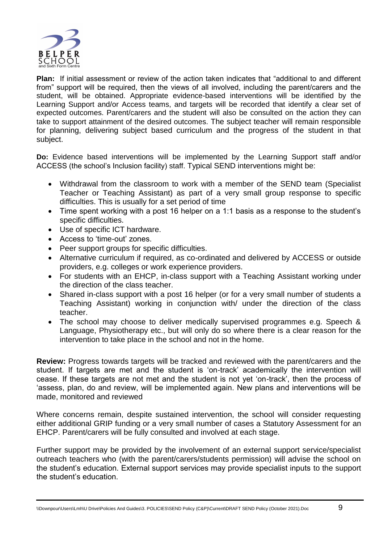

**Plan:** If initial assessment or review of the action taken indicates that "additional to and different from" support will be required, then the views of all involved, including the parent/carers and the student, will be obtained. Appropriate evidence-based interventions will be identified by the Learning Support and/or Access teams, and targets will be recorded that identify a clear set of expected outcomes. Parent/carers and the student will also be consulted on the action they can take to support attainment of the desired outcomes. The subject teacher will remain responsible for planning, delivering subject based curriculum and the progress of the student in that subject.

**Do:** Evidence based interventions will be implemented by the Learning Support staff and/or ACCESS (the school's Inclusion facility) staff. Typical SEND interventions might be:

- Withdrawal from the classroom to work with a member of the SEND team (Specialist Teacher or Teaching Assistant) as part of a very small group response to specific difficulties. This is usually for a set period of time
- Time spent working with a post 16 helper on a 1:1 basis as a response to the student's specific difficulties.
- Use of specific ICT hardware.
- Access to 'time-out' zones.
- Peer support groups for specific difficulties.
- Alternative curriculum if required, as co-ordinated and delivered by ACCESS or outside providers, e.g. colleges or work experience providers.
- For students with an EHCP, in-class support with a Teaching Assistant working under the direction of the class teacher.
- Shared in-class support with a post 16 helper (or for a very small number of students a Teaching Assistant) working in conjunction with/ under the direction of the class teacher.
- The school may choose to deliver medically supervised programmes e.g. Speech & Language, Physiotherapy etc., but will only do so where there is a clear reason for the intervention to take place in the school and not in the home.

**Review:** Progress towards targets will be tracked and reviewed with the parent/carers and the student. If targets are met and the student is 'on-track' academically the intervention will cease. If these targets are not met and the student is not yet 'on-track', then the process of 'assess, plan, do and review, will be implemented again. New plans and interventions will be made, monitored and reviewed

Where concerns remain, despite sustained intervention, the school will consider requesting either additional GRIP funding or a very small number of cases a Statutory Assessment for an EHCP. Parent/carers will be fully consulted and involved at each stage.

Further support may be provided by the involvement of an external support service/specialist outreach teachers who (with the parent/carers/students permission) will advise the school on the student's education. External support services may provide specialist inputs to the support the student's education.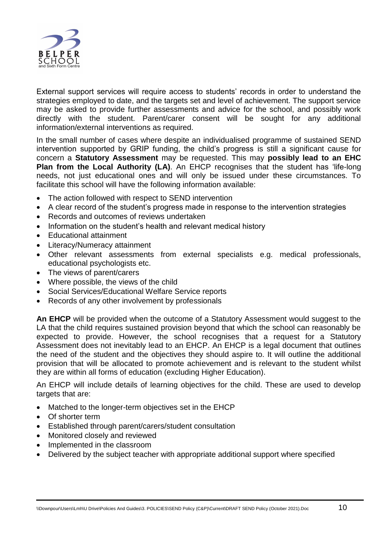

External support services will require access to students' records in order to understand the strategies employed to date, and the targets set and level of achievement. The support service may be asked to provide further assessments and advice for the school, and possibly work directly with the student. Parent/carer consent will be sought for any additional information/external interventions as required.

In the small number of cases where despite an individualised programme of sustained SEND intervention supported by GRIP funding, the child's progress is still a significant cause for concern a **Statutory Assessment** may be requested. This may **possibly lead to an EHC Plan from the Local Authority (LA)**. An EHCP recognises that the student has 'life-long needs, not just educational ones and will only be issued under these circumstances. To facilitate this school will have the following information available:

- The action followed with respect to SEND intervention
- A clear record of the student's progress made in response to the intervention strategies
- Records and outcomes of reviews undertaken
- Information on the student's health and relevant medical history
- Educational attainment
- Literacy/Numeracy attainment
- Other relevant assessments from external specialists e.g. medical professionals, educational psychologists etc.
- The views of parent/carers
- Where possible, the views of the child
- Social Services/Educational Welfare Service reports
- Records of any other involvement by professionals

**An EHCP** will be provided when the outcome of a Statutory Assessment would suggest to the LA that the child requires sustained provision beyond that which the school can reasonably be expected to provide. However, the school recognises that a request for a Statutory Assessment does not inevitably lead to an EHCP. An EHCP is a legal document that outlines the need of the student and the objectives they should aspire to. It will outline the additional provision that will be allocated to promote achievement and is relevant to the student whilst they are within all forms of education (excluding Higher Education).

An EHCP will include details of learning objectives for the child. These are used to develop targets that are:

- Matched to the longer-term objectives set in the EHCP
- Of shorter term
- Established through parent/carers/student consultation
- Monitored closely and reviewed
- Implemented in the classroom
- Delivered by the subject teacher with appropriate additional support where specified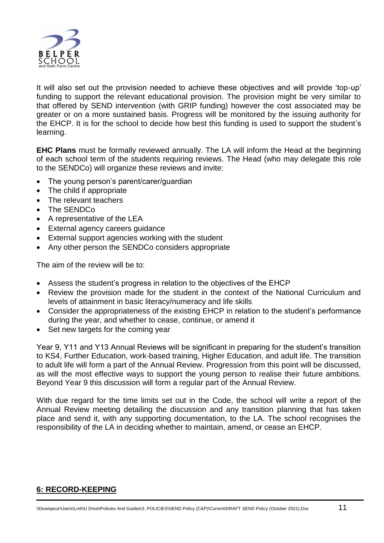

It will also set out the provision needed to achieve these objectives and will provide 'top-up' funding to support the relevant educational provision. The provision might be very similar to that offered by SEND intervention (with GRIP funding) however the cost associated may be greater or on a more sustained basis. Progress will be monitored by the issuing authority for the EHCP. It is for the school to decide how best this funding is used to support the student's learning.

**EHC Plans** must be formally reviewed annually. The LA will inform the Head at the beginning of each school term of the students requiring reviews. The Head (who may delegate this role to the SENDCo) will organize these reviews and invite:

- The young person's parent/carer/guardian
- The child if appropriate
- The relevant teachers
- The SENDCo
- A representative of the LEA
- External agency careers guidance
- External support agencies working with the student
- Any other person the SENDCo considers appropriate

The aim of the review will be to:

- Assess the student's progress in relation to the objectives of the EHCP
- Review the provision made for the student in the context of the National Curriculum and levels of attainment in basic literacy/numeracy and life skills
- Consider the appropriateness of the existing EHCP in relation to the student's performance during the year, and whether to cease, continue, or amend it
- Set new targets for the coming year

Year 9, Y11 and Y13 Annual Reviews will be significant in preparing for the student's transition to KS4, Further Education, work-based training, Higher Education, and adult life. The transition to adult life will form a part of the Annual Review. Progression from this point will be discussed, as will the most effective ways to support the young person to realise their future ambitions. Beyond Year 9 this discussion will form a regular part of the Annual Review.

With due regard for the time limits set out in the Code, the school will write a report of the Annual Review meeting detailing the discussion and any transition planning that has taken place and send it, with any supporting documentation, to the LA. The school recognises the responsibility of the LA in deciding whether to maintain, amend, or cease an EHCP.

# **6: RECORD-KEEPING**